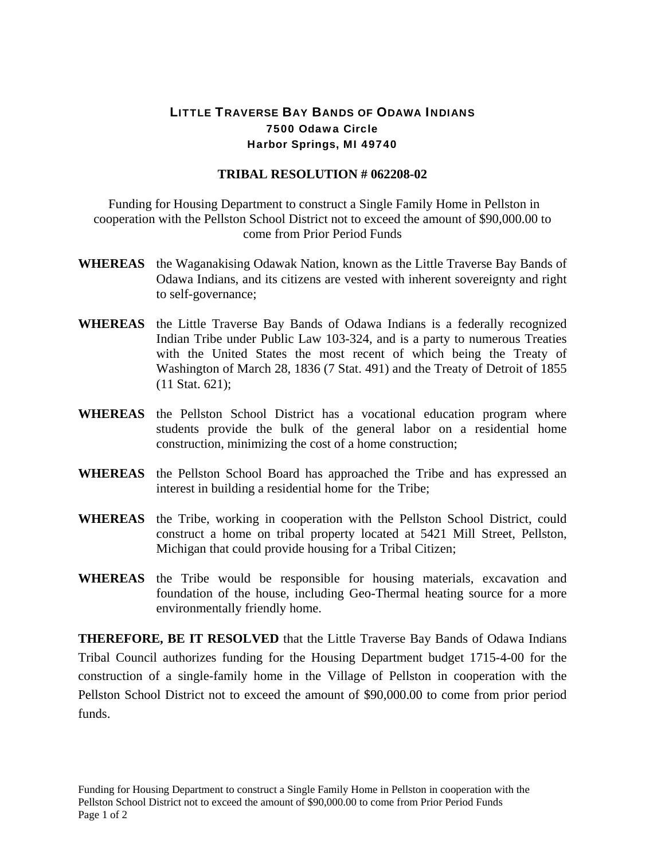## LITTLE TRAVERSE BAY BANDS OF ODAWA INDIANS 7500 Odawa Circle Harbor Springs, MI 49740

## **TRIBAL RESOLUTION # 062208-02**

 Funding for Housing Department to construct a Single Family Home in Pellston in cooperation with the Pellston School District not to exceed the amount of \$90,000.00 to come from Prior Period Funds

- **WHEREAS** the Waganakising Odawak Nation, known as the Little Traverse Bay Bands of Odawa Indians, and its citizens are vested with inherent sovereignty and right to self-governance;
- **WHEREAS** the Little Traverse Bay Bands of Odawa Indians is a federally recognized Indian Tribe under Public Law 103-324, and is a party to numerous Treaties with the United States the most recent of which being the Treaty of Washington of March 28, 1836 (7 Stat. 491) and the Treaty of Detroit of 1855 (11 Stat. 621);
- **WHEREAS** the Pellston School District has a vocational education program where students provide the bulk of the general labor on a residential home construction, minimizing the cost of a home construction;
- **WHEREAS** the Pellston School Board has approached the Tribe and has expressed an interest in building a residential home for the Tribe;
- **WHEREAS** the Tribe, working in cooperation with the Pellston School District, could construct a home on tribal property located at 5421 Mill Street, Pellston, Michigan that could provide housing for a Tribal Citizen;
- **WHEREAS** the Tribe would be responsible for housing materials, excavation and foundation of the house, including Geo-Thermal heating source for a more environmentally friendly home.

**THEREFORE, BE IT RESOLVED** that the Little Traverse Bay Bands of Odawa Indians Tribal Council authorizes funding for the Housing Department budget 1715-4-00 for the construction of a single-family home in the Village of Pellston in cooperation with the Pellston School District not to exceed the amount of \$90,000.00 to come from prior period funds.